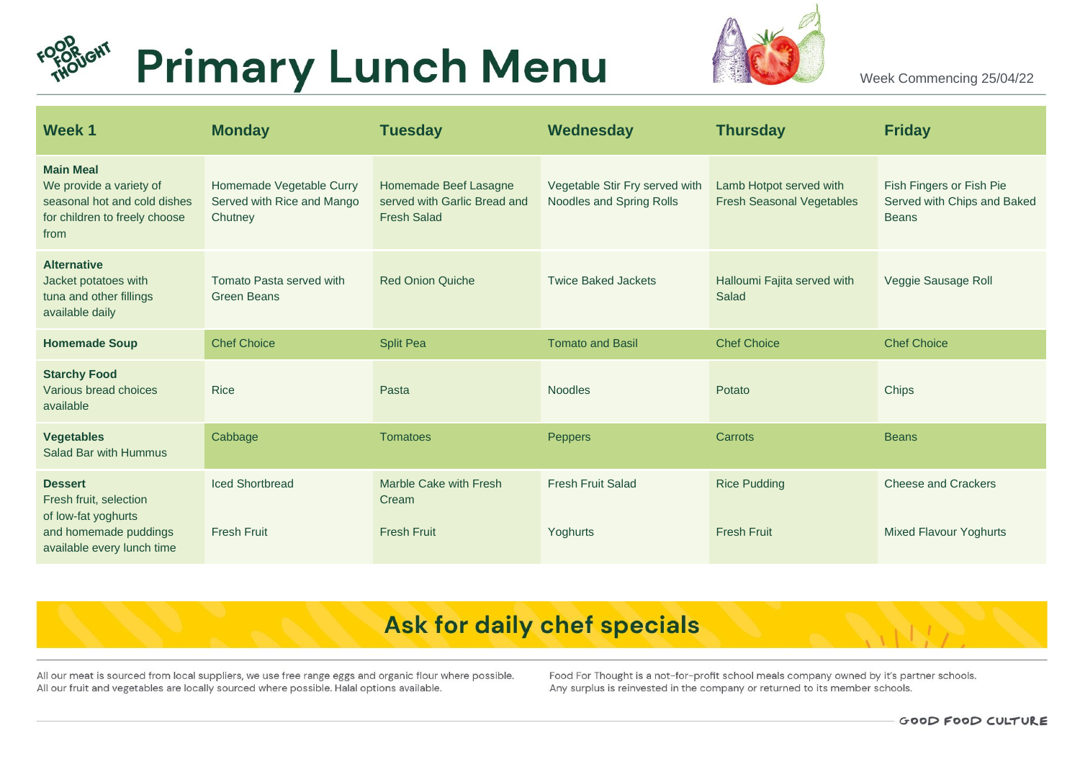



Week Commencing 25/04/22

| Week 1                                                                                                                 | <b>Monday</b>                                                     | <b>Tuesday</b>                                                              | Wednesday                                                  | <b>Thursday</b>                                             | <b>Friday</b>                                                           |
|------------------------------------------------------------------------------------------------------------------------|-------------------------------------------------------------------|-----------------------------------------------------------------------------|------------------------------------------------------------|-------------------------------------------------------------|-------------------------------------------------------------------------|
| <b>Main Meal</b><br>We provide a variety of<br>seasonal hot and cold dishes<br>for children to freely choose<br>from   | Homemade Vegetable Curry<br>Served with Rice and Mango<br>Chutney | Homemade Beef Lasagne<br>served with Garlic Bread and<br><b>Fresh Salad</b> | Vegetable Stir Fry served with<br>Noodles and Spring Rolls | Lamb Hotpot served with<br><b>Fresh Seasonal Vegetables</b> | Fish Fingers or Fish Pie<br>Served with Chips and Baked<br><b>Beans</b> |
| <b>Alternative</b><br>Jacket potatoes with<br>tuna and other fillings<br>available daily                               | Tomato Pasta served with<br><b>Green Beans</b>                    | <b>Red Onion Quiche</b>                                                     | <b>Twice Baked Jackets</b>                                 | Halloumi Fajita served with<br>Salad                        | Veggie Sausage Roll                                                     |
| <b>Homemade Soup</b>                                                                                                   | <b>Chef Choice</b>                                                | <b>Split Pea</b>                                                            | <b>Tomato and Basil</b>                                    | <b>Chef Choice</b>                                          | <b>Chef Choice</b>                                                      |
| <b>Starchy Food</b><br>Various bread choices<br>available                                                              | <b>Rice</b>                                                       | Pasta                                                                       | <b>Noodles</b>                                             | Potato                                                      | <b>Chips</b>                                                            |
| <b>Vegetables</b><br>Salad Bar with Hummus                                                                             | Cabbage                                                           | <b>Tomatoes</b>                                                             | <b>Peppers</b>                                             | Carrots                                                     | <b>Beans</b>                                                            |
| <b>Dessert</b><br>Fresh fruit, selection<br>of low-fat yoghurts<br>and homemade puddings<br>available every lunch time | <b>Iced Shortbread</b><br><b>Fresh Fruit</b>                      | Marble Cake with Fresh<br>Cream<br><b>Fresh Fruit</b>                       | <b>Fresh Fruit Salad</b><br>Yoghurts                       | <b>Rice Pudding</b><br><b>Fresh Fruit</b>                   | <b>Cheese and Crackers</b><br><b>Mixed Flavour Yoghurts</b>             |

# Ask for daily chef specials

All our meat is sourced from local suppliers, we use free range eggs and organic flour where possible. All our fruit and vegetables are locally sourced where possible. Halal options available.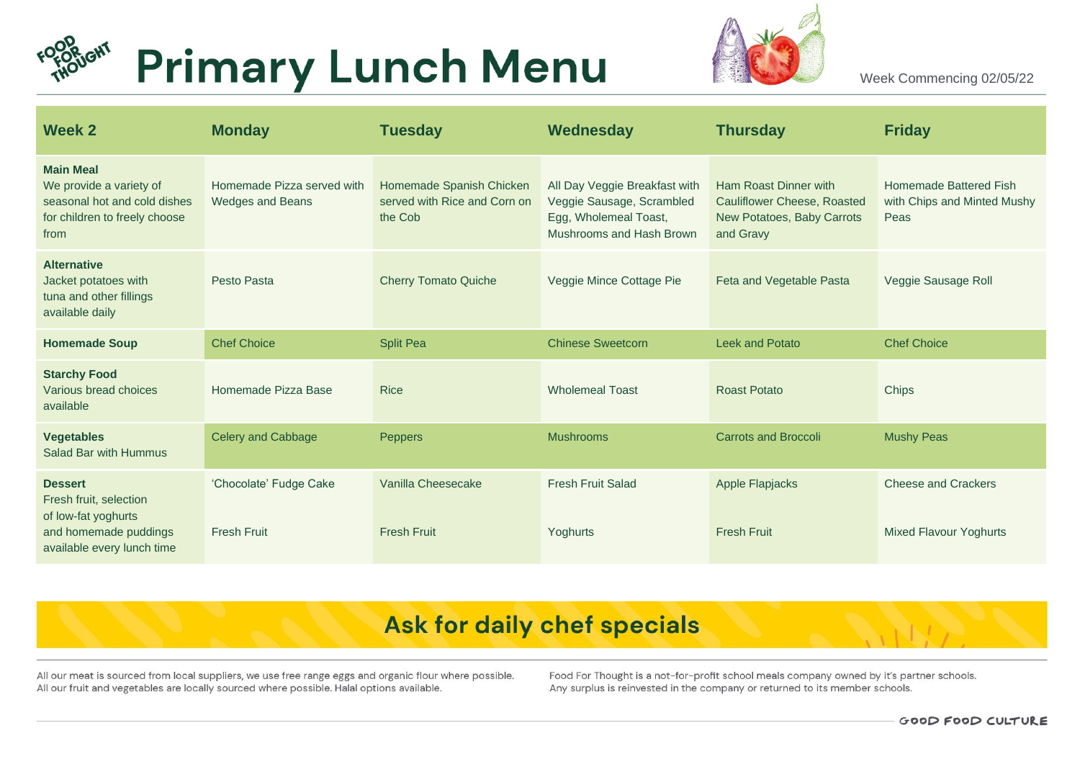



Week Commencing 02/05/22

| Week 2                                                                                                                 | <b>Monday</b>                                         | <b>Tuesday</b>                                                      | Wednesday                                                                                                       | <b>Thursday</b>                                                                                        | <b>Friday</b>                                                 |
|------------------------------------------------------------------------------------------------------------------------|-------------------------------------------------------|---------------------------------------------------------------------|-----------------------------------------------------------------------------------------------------------------|--------------------------------------------------------------------------------------------------------|---------------------------------------------------------------|
| <b>Main Meal</b><br>We provide a variety of<br>seasonal hot and cold dishes<br>for children to freely choose<br>from   | Homemade Pizza served with<br><b>Wedges and Beans</b> | Homemade Spanish Chicken<br>served with Rice and Corn on<br>the Cob | All Day Veggie Breakfast with<br>Veggie Sausage, Scrambled<br>Egg, Wholemeal Toast,<br>Mushrooms and Hash Brown | Ham Roast Dinner with<br><b>Cauliflower Cheese, Roasted</b><br>New Potatoes, Baby Carrots<br>and Gravy | Homemade Battered Fish<br>with Chips and Minted Mushy<br>Peas |
| <b>Alternative</b><br>Jacket potatoes with<br>tuna and other fillings<br>available daily                               | Pesto Pasta                                           | <b>Cherry Tomato Quiche</b>                                         | Veggie Mince Cottage Pie                                                                                        | Feta and Vegetable Pasta                                                                               | Veggie Sausage Roll                                           |
| <b>Homemade Soup</b>                                                                                                   | <b>Chef Choice</b>                                    | <b>Split Pea</b>                                                    | <b>Chinese Sweetcorn</b>                                                                                        | <b>Leek and Potato</b>                                                                                 | <b>Chef Choice</b>                                            |
| <b>Starchy Food</b><br>Various bread choices<br>available                                                              | Homemade Pizza Base                                   | <b>Rice</b>                                                         | <b>Wholemeal Toast</b>                                                                                          | <b>Roast Potato</b>                                                                                    | <b>Chips</b>                                                  |
| <b>Vegetables</b><br>Salad Bar with Hummus                                                                             | <b>Celery and Cabbage</b>                             | Peppers                                                             | <b>Mushrooms</b>                                                                                                | <b>Carrots and Broccoli</b>                                                                            | <b>Mushy Peas</b>                                             |
| <b>Dessert</b><br>Fresh fruit, selection<br>of low-fat yoghurts<br>and homemade puddings<br>available every lunch time | 'Chocolate' Fudge Cake<br><b>Fresh Fruit</b>          | Vanilla Cheesecake<br><b>Fresh Fruit</b>                            | <b>Fresh Fruit Salad</b><br>Yoghurts                                                                            | <b>Apple Flapjacks</b><br><b>Fresh Fruit</b>                                                           | <b>Cheese and Crackers</b><br><b>Mixed Flavour Yoghurts</b>   |

# Ask for daily chef specials

All our meat is sourced from local suppliers, we use free range eggs and organic flour where possible. All our fruit and vegetables are locally sourced where possible. Halal options available.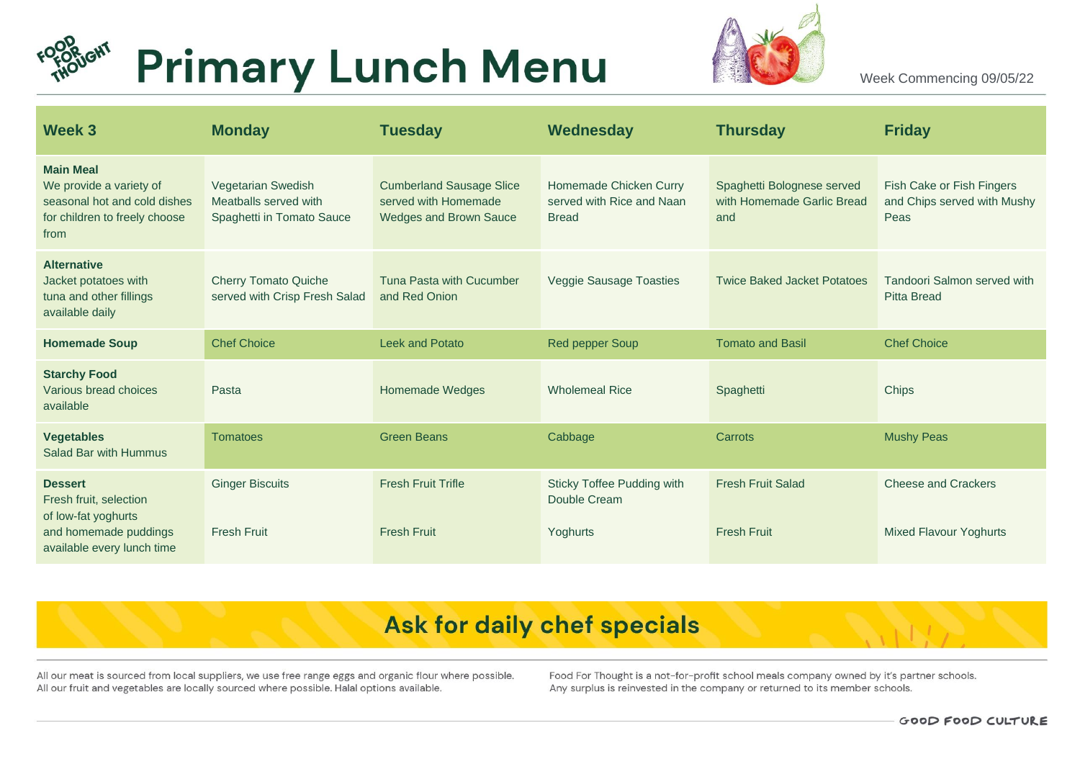



Week Commencing 09/05/22

| Week 3                                                                                                                 | <b>Monday</b>                                                            | <b>Tuesday</b>                                                                           | Wednesday                                                           | <b>Thursday</b>                                                 | <b>Friday</b>                                                    |
|------------------------------------------------------------------------------------------------------------------------|--------------------------------------------------------------------------|------------------------------------------------------------------------------------------|---------------------------------------------------------------------|-----------------------------------------------------------------|------------------------------------------------------------------|
| <b>Main Meal</b><br>We provide a variety of<br>seasonal hot and cold dishes<br>for children to freely choose<br>from   | Vegetarian Swedish<br>Meatballs served with<br>Spaghetti in Tomato Sauce | <b>Cumberland Sausage Slice</b><br>served with Homemade<br><b>Wedges and Brown Sauce</b> | Homemade Chicken Curry<br>served with Rice and Naan<br><b>Bread</b> | Spaghetti Bolognese served<br>with Homemade Garlic Bread<br>and | Fish Cake or Fish Fingers<br>and Chips served with Mushy<br>Peas |
| <b>Alternative</b><br>Jacket potatoes with<br>tuna and other fillings<br>available daily                               | <b>Cherry Tomato Quiche</b><br>served with Crisp Fresh Salad             | Tuna Pasta with Cucumber<br>and Red Onion                                                | <b>Veggie Sausage Toasties</b>                                      | <b>Twice Baked Jacket Potatoes</b>                              | Tandoori Salmon served with<br><b>Pitta Bread</b>                |
| <b>Homemade Soup</b>                                                                                                   | <b>Chef Choice</b>                                                       | <b>Leek and Potato</b>                                                                   | <b>Red pepper Soup</b>                                              | <b>Tomato and Basil</b>                                         | <b>Chef Choice</b>                                               |
| <b>Starchy Food</b><br>Various bread choices<br>available                                                              | Pasta                                                                    | <b>Homemade Wedges</b>                                                                   | <b>Wholemeal Rice</b>                                               | Spaghetti                                                       | Chips                                                            |
| <b>Vegetables</b><br>Salad Bar with Hummus                                                                             | <b>Tomatoes</b>                                                          | <b>Green Beans</b>                                                                       | Cabbage                                                             | Carrots                                                         | <b>Mushy Peas</b>                                                |
| <b>Dessert</b><br>Fresh fruit, selection<br>of low-fat yoghurts<br>and homemade puddings<br>available every lunch time | <b>Ginger Biscuits</b><br><b>Fresh Fruit</b>                             | <b>Fresh Fruit Trifle</b><br><b>Fresh Fruit</b>                                          | Sticky Toffee Pudding with<br>Double Cream<br>Yoghurts              | <b>Fresh Fruit Salad</b><br><b>Fresh Fruit</b>                  | <b>Cheese and Crackers</b><br><b>Mixed Flavour Yoghurts</b>      |

# Ask for daily chef specials

All our meat is sourced from local suppliers, we use free range eggs and organic flour where possible. All our fruit and vegetables are locally sourced where possible. Halal options available.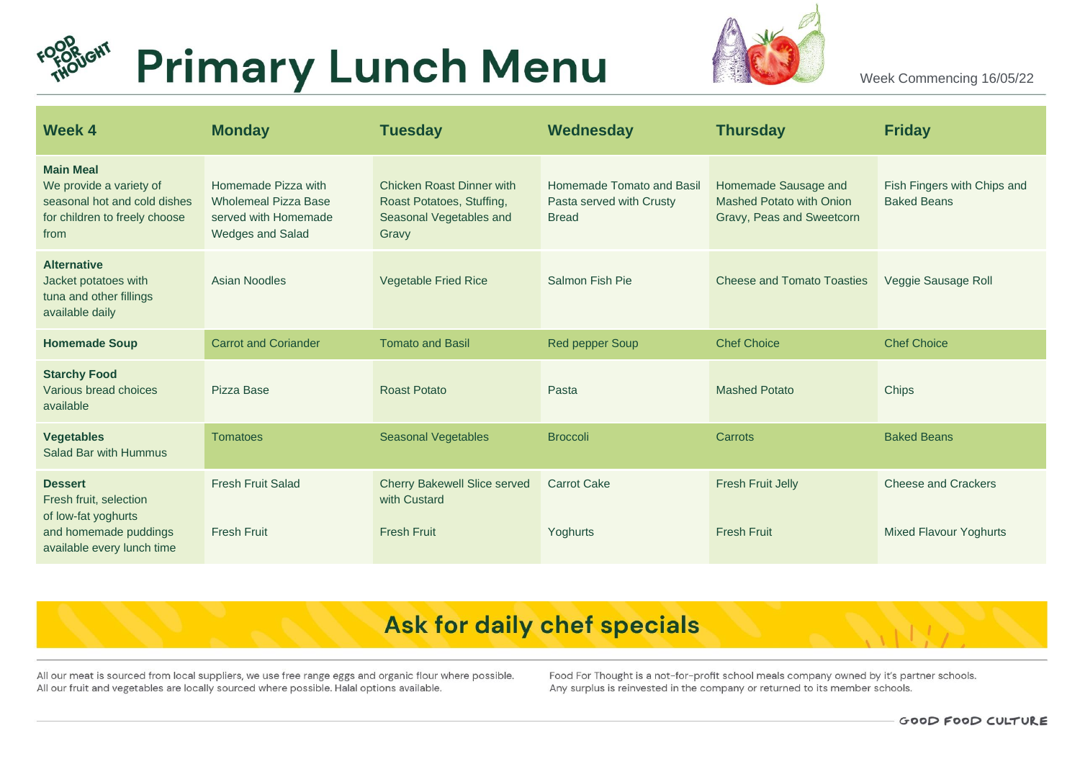



Week Commencing 16/05/22

| <b>Week 4</b>                                                                                                        | <b>Monday</b>                                                                                         | <b>Tuesday</b>                                                                                    | Wednesday                                                             | <b>Thursday</b>                                                                      | <b>Friday</b>                                               |
|----------------------------------------------------------------------------------------------------------------------|-------------------------------------------------------------------------------------------------------|---------------------------------------------------------------------------------------------------|-----------------------------------------------------------------------|--------------------------------------------------------------------------------------|-------------------------------------------------------------|
| <b>Main Meal</b><br>We provide a variety of<br>seasonal hot and cold dishes<br>for children to freely choose<br>from | Homemade Pizza with<br><b>Wholemeal Pizza Base</b><br>served with Homemade<br><b>Wedges and Salad</b> | <b>Chicken Roast Dinner with</b><br>Roast Potatoes, Stuffing,<br>Seasonal Vegetables and<br>Gravy | Homemade Tomato and Basil<br>Pasta served with Crusty<br><b>Bread</b> | Homemade Sausage and<br><b>Mashed Potato with Onion</b><br>Gravy, Peas and Sweetcorn | Fish Fingers with Chips and<br><b>Baked Beans</b>           |
| <b>Alternative</b><br>Jacket potatoes with<br>tuna and other fillings<br>available daily                             | Asian Noodles                                                                                         | <b>Vegetable Fried Rice</b>                                                                       | Salmon Fish Pie                                                       | <b>Cheese and Tomato Toasties</b>                                                    | Veggie Sausage Roll                                         |
| <b>Homemade Soup</b>                                                                                                 | <b>Carrot and Coriander</b>                                                                           | <b>Tomato and Basil</b>                                                                           | <b>Red pepper Soup</b>                                                | <b>Chef Choice</b>                                                                   | <b>Chef Choice</b>                                          |
| <b>Starchy Food</b><br>Various bread choices<br>available                                                            | Pizza Base                                                                                            | <b>Roast Potato</b>                                                                               | Pasta                                                                 | <b>Mashed Potato</b>                                                                 | Chips                                                       |
| <b>Vegetables</b><br>Salad Bar with Hummus                                                                           | <b>Tomatoes</b>                                                                                       | Seasonal Vegetables                                                                               | <b>Broccoli</b>                                                       | Carrots                                                                              | <b>Baked Beans</b>                                          |
| <b>Dessert</b><br>Fresh fruit, selection<br>of low-fat yoghurts<br>and homemade puddings                             | <b>Fresh Fruit Salad</b><br><b>Fresh Fruit</b>                                                        | <b>Cherry Bakewell Slice served</b><br>with Custard<br><b>Fresh Fruit</b>                         | <b>Carrot Cake</b><br>Yoghurts                                        | <b>Fresh Fruit Jelly</b><br><b>Fresh Fruit</b>                                       | <b>Cheese and Crackers</b><br><b>Mixed Flavour Yoghurts</b> |
| available every lunch time                                                                                           |                                                                                                       |                                                                                                   |                                                                       |                                                                                      |                                                             |

# Ask for daily chef specials

All our meat is sourced from local suppliers, we use free range eggs and organic flour where possible. All our fruit and vegetables are locally sourced where possible. Halal options available.